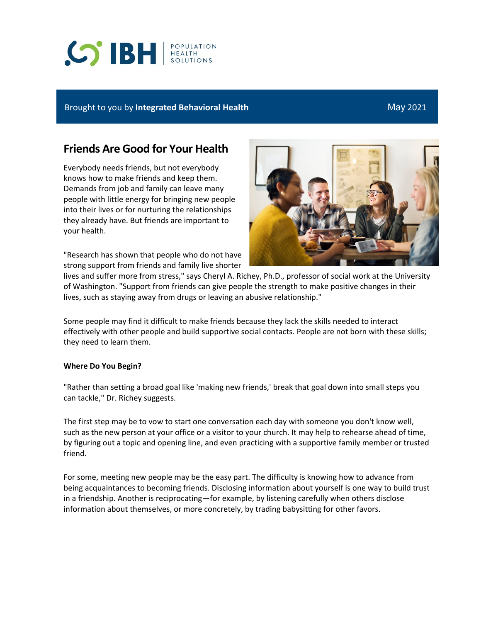# **SIBH REALTH**

# Brought to you by **Integrated Behavioral Health** May 2021

# **Friends Are Good for Your Health**

Everybody needs friends, but not everybody knows how to make friends and keep them. Demands from job and family can leave many people with little energy for bringing new people into their lives or for nurturing the relationships they already have. But friends are important to your health.

"Research has shown that people who do not have strong support from friends and family live shorter



lives and suffer more from stress," says Cheryl A. Richey, Ph.D., professor of social work at the University of Washington. "Support from friends can give people the strength to make positive changes in their lives, such as staying away from drugs or leaving an abusive relationship."

Some people may find it difficult to make friends because they lack the skills needed to interact effectively with other people and build supportive social contacts. People are not born with these skills; they need to learn them.

## **Where Do You Begin?**

"Rather than setting a broad goal like 'making new friends,' break that goal down into small steps you can tackle," Dr. Richey suggests.

The first step may be to vow to start one conversation each day with someone you don't know well, such as the new person at your office or a visitor to your church. It may help to rehearse ahead of time, by figuring out a topic and opening line, and even practicing with a supportive family member or trusted friend.

For some, meeting new people may be the easy part. The difficulty is knowing how to advance from being acquaintances to becoming friends. Disclosing information about yourself is one way to build trust in a friendship. Another is reciprocating—for example, by listening carefully when others disclose information about themselves, or more concretely, by trading babysitting for other favors.